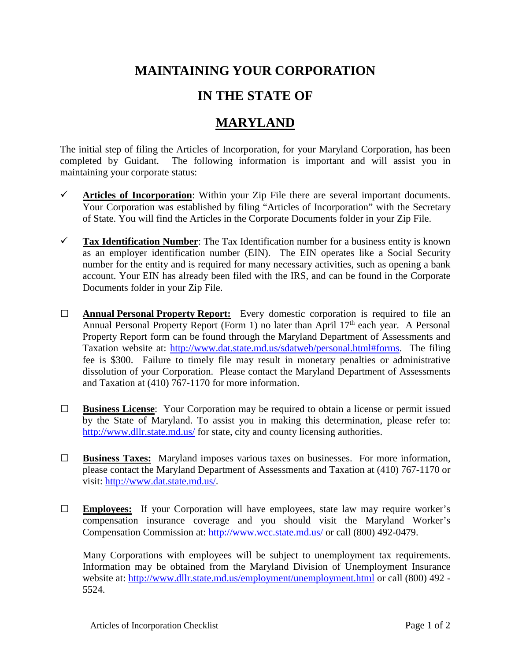## **MAINTAINING YOUR CORPORATION**

## **IN THE STATE OF**

## **MARYLAND**

The initial step of filing the Articles of Incorporation, for your Maryland Corporation, has been completed by Guidant. The following information is important and will assist you in maintaining your corporate status:

- $\checkmark$  Articles of Incorporation: Within your Zip File there are several important documents. Your Corporation was established by filing "Articles of Incorporation" with the Secretary of State. You will find the Articles in the Corporate Documents folder in your Zip File.
- **Tax Identification Number**: The Tax Identification number for a business entity is known as an employer identification number (EIN). The EIN operates like a Social Security number for the entity and is required for many necessary activities, such as opening a bank account. Your EIN has already been filed with the IRS, and can be found in the Corporate Documents folder in your Zip File.
- **□ Annual Personal Property Report:** Every domestic corporation is required to file an Annual Personal Property Report (Form 1) no later than April 17<sup>th</sup> each year. A Personal Property Report form can be found through the Maryland Department of Assessments and Taxation website at: [http://www.dat.state.md.us/sdatweb/personal.html#forms.](http://www.dat.state.md.us/sdatweb/personal.html%23forms) The filing fee is \$300. Failure to timely file may result in monetary penalties or administrative dissolution of your Corporation. Please contact the Maryland Department of Assessments and Taxation at (410) 767-1170 for more information.
- **□ Business License**: Your Corporation may be required to obtain a license or permit issued by the State of Maryland. To assist you in making this determination, please refer to: <http://www.dllr.state.md.us/> for state, city and county licensing authorities.
- **□ Business Taxes:** Maryland imposes various taxes on businesses. For more information, please contact the Maryland Department of Assessments and Taxation at (410) 767-1170 or visit: [http://www.dat.state.md.us/.](http://www.dat.state.md.us/)
- **□ Employees:** If your Corporation will have employees, state law may require worker's compensation insurance coverage and you should visit the Maryland Worker's Compensation Commission at:<http://www.wcc.state.md.us/> or call (800) 492-0479.

Many Corporations with employees will be subject to unemployment tax requirements. Information may be obtained from the Maryland Division of Unemployment Insurance website at:<http://www.dllr.state.md.us/employment/unemployment.html> or call (800) 492 -5524.